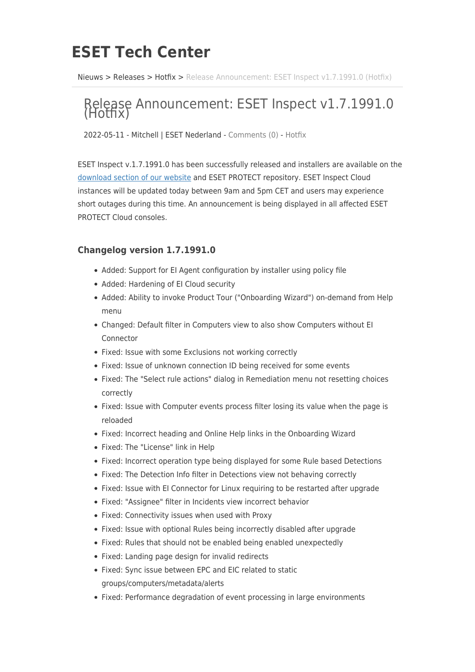## **ESET Tech Center**

[Nieuws](https://techcenter.eset.nl/nl/news) > [Releases](https://techcenter.eset.nl/nl/news/releases) > [Hotfix](https://techcenter.eset.nl/nl/news/hotfix) > [Release Announcement: ESET Inspect v1.7.1991.0 \(Hotfix\)](https://techcenter.eset.nl/nl/news/posts/release-announcement-eset-inspect-v1-7-1991-0-hotfix)

## Release Announcement: ESET Inspect v1.7.1991.0 (Hotfix)

2022-05-11 - Mitchell | ESET Nederland - [Comments \(0\)](#page--1-0) - [Hotfix](https://techcenter.eset.nl/nl/news/hotfix)

ESET Inspect v.1.7.1991.0 has been successfully released and installers are available on the [download section of our website](https://www.eset.com/int/business/download/inspect/#connector) and ESET PROTECT repository. ESET Inspect Cloud instances will be updated today between 9am and 5pm CET and users may experience short outages during this time. An announcement is being displayed in all affected ESET PROTECT Cloud consoles.

## **Changelog version 1.7.1991.0**

- Added: Support for EI Agent configuration by installer using policy file
- Added: Hardening of EI Cloud security
- Added: Ability to invoke Product Tour ("Onboarding Wizard") on-demand from Help menu
- Changed: Default filter in Computers view to also show Computers without EI Connector
- Fixed: Issue with some Exclusions not working correctly
- Fixed: Issue of unknown connection ID being received for some events
- Fixed: The "Select rule actions" dialog in Remediation menu not resetting choices correctly
- Fixed: Issue with Computer events process filter losing its value when the page is reloaded
- Fixed: Incorrect heading and Online Help links in the Onboarding Wizard
- Fixed: The "License" link in Help
- Fixed: Incorrect operation type being displayed for some Rule based Detections
- Fixed: The Detection Info filter in Detections view not behaving correctly
- Fixed: Issue with EI Connector for Linux requiring to be restarted after upgrade
- Fixed: "Assignee" filter in Incidents view incorrect behavior
- Fixed: Connectivity issues when used with Proxy
- Fixed: Issue with optional Rules being incorrectly disabled after upgrade
- Fixed: Rules that should not be enabled being enabled unexpectedly
- Fixed: Landing page design for invalid redirects
- Fixed: Sync issue between EPC and EIC related to static groups/computers/metadata/alerts
- Fixed: Performance degradation of event processing in large environments